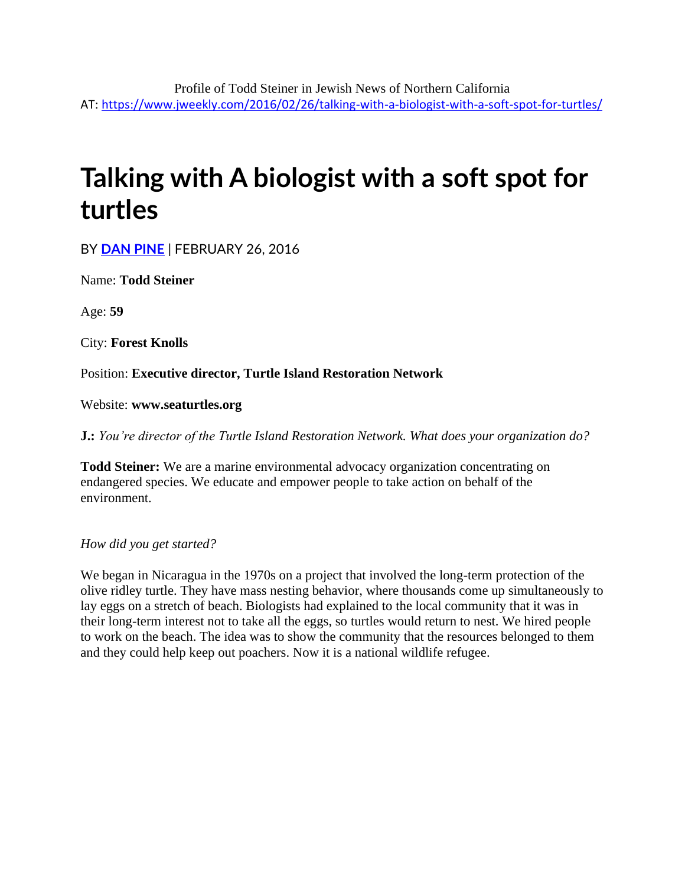# **Talking with A biologist with a soft spot for turtles**

BY **[DAN PINE](https://www.jweekly.com/author/dan-pine/)** | FEBRUARY 26, 2016

Name: **Todd Steiner**

Age: **59**

City: **Forest Knolls**

Position: **Executive director, Turtle Island Restoration Network**

Website: **www.seaturtles.org**

**J.:** *You're director of the Turtle Island Restoration Network. What does your organization do?*

**Todd Steiner:** We are a marine environmental advocacy organization concentrating on endangered species. We educate and empower people to take action on behalf of the environment.

*How did you get started?*

We began in Nicaragua in the 1970s on a project that involved the long-term protection of the olive ridley turtle. They have mass nesting behavior, where thousands come up simultaneously to lay eggs on a stretch of beach. Biologists had explained to the local community that it was in their long-term interest not to take all the eggs, so turtles would return to nest. We hired people to work on the beach. The idea was to show the community that the resources belonged to them and they could help keep out poachers. Now it is a national wildlife refugee.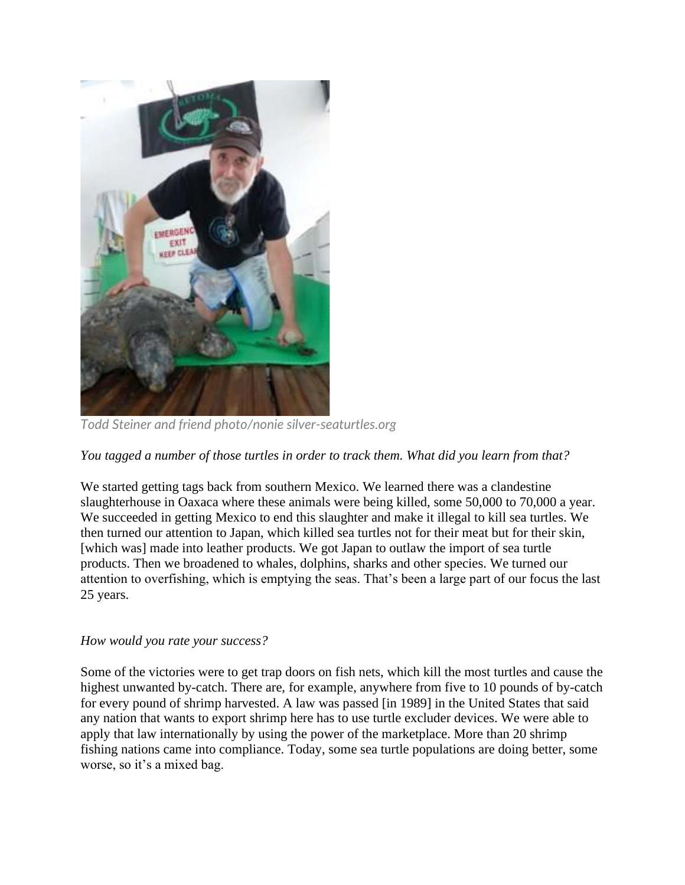

*Todd Steiner and friend photo/nonie silver-seaturtles.org*

*You tagged a number of those turtles in order to track them. What did you learn from that?*

We started getting tags back from southern Mexico. We learned there was a clandestine slaughterhouse in Oaxaca where these animals were being killed, some 50,000 to 70,000 a year. We succeeded in getting Mexico to end this slaughter and make it illegal to kill sea turtles. We then turned our attention to Japan, which killed sea turtles not for their meat but for their skin, [which was] made into leather products. We got Japan to outlaw the import of sea turtle products. Then we broadened to whales, dolphins, sharks and other species. We turned our attention to overfishing, which is emptying the seas. That's been a large part of our focus the last 25 years.

### *How would you rate your success?*

Some of the victories were to get trap doors on fish nets, which kill the most turtles and cause the highest unwanted by-catch. There are, for example, anywhere from five to 10 pounds of by-catch for every pound of shrimp harvested. A law was passed [in 1989] in the United States that said any nation that wants to export shrimp here has to use turtle excluder devices. We were able to apply that law internationally by using the power of the marketplace. More than 20 shrimp fishing nations came into compliance. Today, some sea turtle populations are doing better, some worse, so it's a mixed bag.